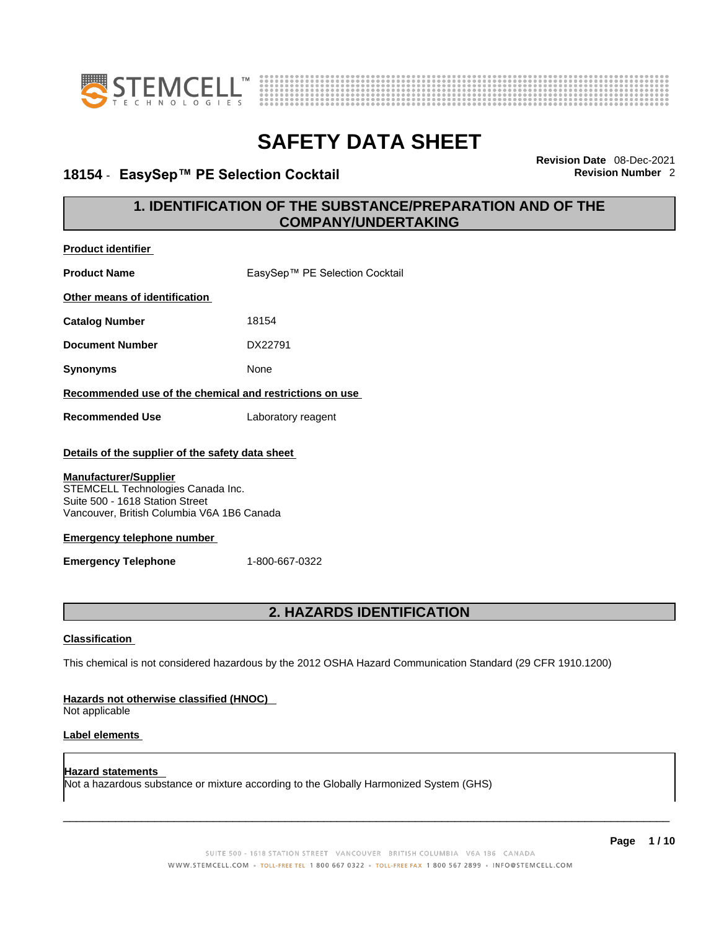

**Product identifier**



# **SAFETY DATA SHEET**

## **18154 · EasySep™ PE Selection Cocktail**

**Revision Date** 08-Dec-2021

### **1. IDENTIFICATION OF THE SUBSTANCE/PREPARATION AND OF THE COMPANY/UNDERTAKING**

| <b>Product Name</b>                                                                                                                                                                                                                                                                         | EasySep™ PE Selection Cocktail |  |
|---------------------------------------------------------------------------------------------------------------------------------------------------------------------------------------------------------------------------------------------------------------------------------------------|--------------------------------|--|
| Other means of identification                                                                                                                                                                                                                                                               |                                |  |
| <b>Catalog Number</b>                                                                                                                                                                                                                                                                       | 18154                          |  |
| <b>Document Number</b>                                                                                                                                                                                                                                                                      | DX22791                        |  |
| <b>Synonyms</b>                                                                                                                                                                                                                                                                             | None                           |  |
| Recommended use of the chemical and restrictions on use                                                                                                                                                                                                                                     |                                |  |
| <b>Recommended Use</b>                                                                                                                                                                                                                                                                      | Laboratory reagent             |  |
| Details of the supplier of the safety data sheet<br><b>Manufacturer/Supplier</b><br>STEMCELL Technologies Canada Inc.<br>Suite 500 - 1618 Station Street<br>Vancouver, British Columbia V6A 1B6 Canada<br><b>Emergency telephone number</b><br>1-800-667-0322<br><b>Emergency Telephone</b> |                                |  |
| <b>2. HAZARDS IDENTIFICATION</b>                                                                                                                                                                                                                                                            |                                |  |
| <b>Classification</b>                                                                                                                                                                                                                                                                       |                                |  |
| This chemical is not considered hazardous by the 2012 OSHA Hazard Communication Standard (29 CFR 1910.1200)                                                                                                                                                                                 |                                |  |
| Hazards not otherwise classified (HNOC)<br>Not applicable                                                                                                                                                                                                                                   |                                |  |
| Label elements                                                                                                                                                                                                                                                                              |                                |  |

**Hazard statements**  Not a hazardous substance or mixture according to the Globally Harmonized System (GHS)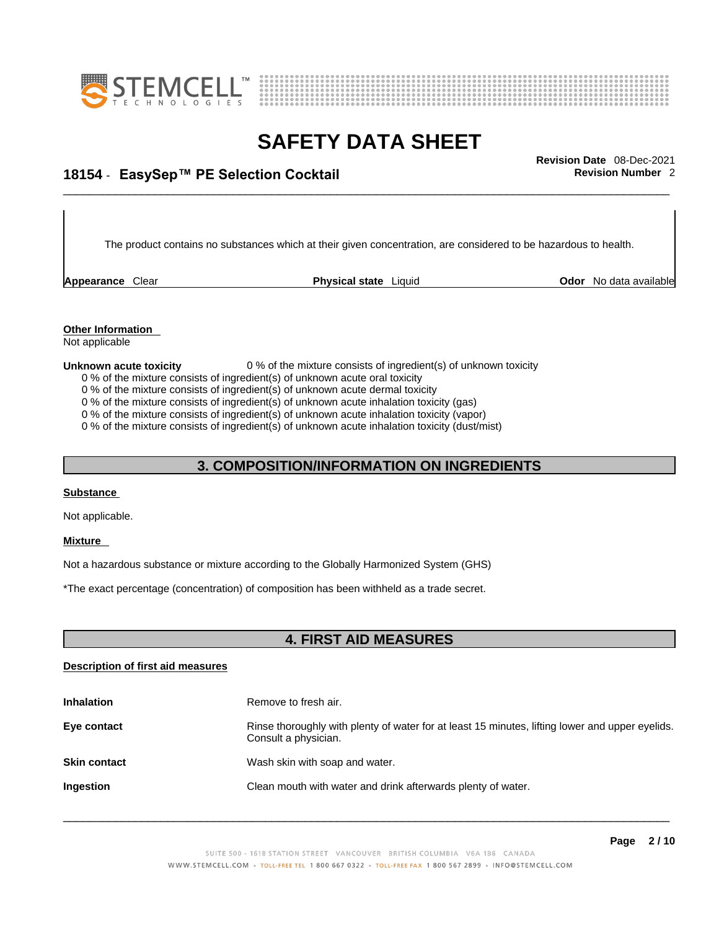



## \_\_\_\_\_\_\_\_\_\_\_\_\_\_\_\_\_\_\_\_\_\_\_\_\_\_\_\_\_\_\_\_\_\_\_\_\_\_\_\_\_\_\_\_\_\_\_\_\_\_\_\_\_\_\_\_\_\_\_\_\_\_\_\_\_\_\_\_\_\_\_\_\_\_\_\_\_\_\_\_\_\_\_\_\_\_\_\_\_\_\_\_\_ **Revision Date** 08-Dec-2021 **18154** - **EasySep™ PE Selection Cocktail Revision Number** 2

The product contains no substances which at their given concentration, are considered to be hazardous to health.

**Appearance** Clear **Physical state** Liquid

**Odor** No data available

### **Other Information**

Not applicable

### **Unknown acute toxicity** 0 % of the mixture consists of ingredient(s) of unknown toxicity

- 0 % of the mixture consists of ingredient(s) of unknown acute oral toxicity
- 0 % of the mixture consists of ingredient(s) of unknown acute dermal toxicity
- 0 % of the mixture consists of ingredient(s) of unknown acute inhalation toxicity (gas)
- 0 % of the mixture consists of ingredient(s) of unknown acute inhalation toxicity (vapor)

0 % of the mixture consists of ingredient(s) of unknown acute inhalation toxicity (dust/mist)

### **3. COMPOSITION/INFORMATION ON INGREDIENTS**

### **Substance**

Not applicable.

### **Mixture**

Not a hazardous substance or mixture according to the Globally Harmonized System (GHS)

\*The exact percentage (concentration) of composition has been withheld as a trade secret.

### **4. FIRST AID MEASURES**

### **Description of first aid measures**

| <b>Inhalation</b>   | Remove to fresh air.                                                                                                    |
|---------------------|-------------------------------------------------------------------------------------------------------------------------|
| Eye contact         | Rinse thoroughly with plenty of water for at least 15 minutes, lifting lower and upper eyelids.<br>Consult a physician. |
| <b>Skin contact</b> | Wash skin with soap and water.                                                                                          |
| <b>Ingestion</b>    | Clean mouth with water and drink afterwards plenty of water.                                                            |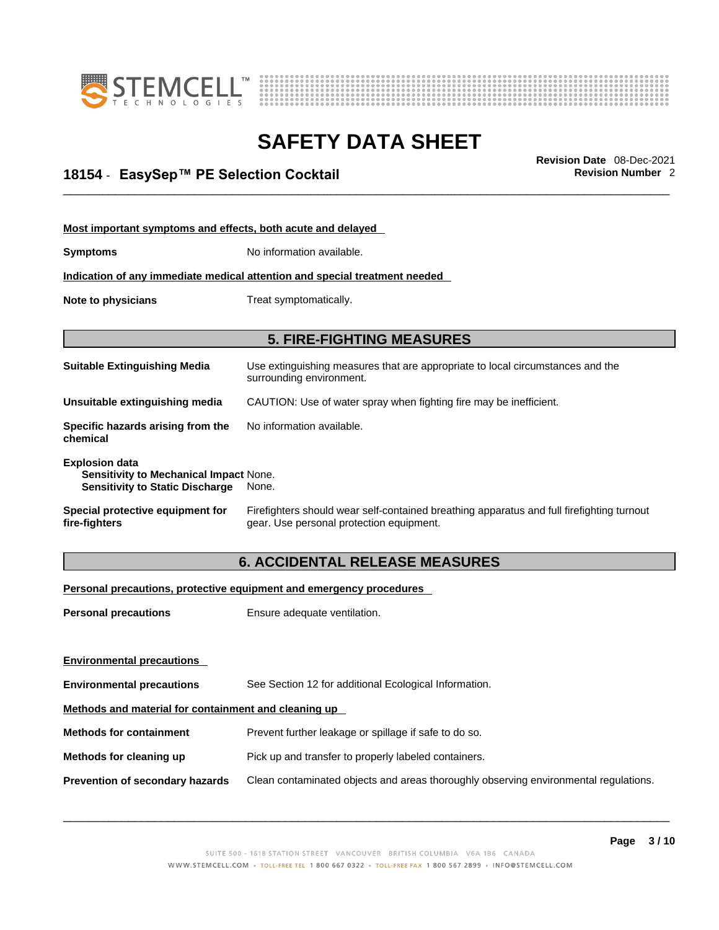



## \_\_\_\_\_\_\_\_\_\_\_\_\_\_\_\_\_\_\_\_\_\_\_\_\_\_\_\_\_\_\_\_\_\_\_\_\_\_\_\_\_\_\_\_\_\_\_\_\_\_\_\_\_\_\_\_\_\_\_\_\_\_\_\_\_\_\_\_\_\_\_\_\_\_\_\_\_\_\_\_\_\_\_\_\_\_\_\_\_\_\_\_\_ **Revision Date** 08-Dec-2021 **18154** - **EasySep™ PE Selection Cocktail Revision Number** 2

| Most important symptoms and effects, both acute and delayed                                                      |                                                                                                                                       |  |  |
|------------------------------------------------------------------------------------------------------------------|---------------------------------------------------------------------------------------------------------------------------------------|--|--|
| <b>Symptoms</b>                                                                                                  | No information available.                                                                                                             |  |  |
|                                                                                                                  | Indication of any immediate medical attention and special treatment needed                                                            |  |  |
| Note to physicians<br>Treat symptomatically.                                                                     |                                                                                                                                       |  |  |
|                                                                                                                  | <b>5. FIRE-FIGHTING MEASURES</b>                                                                                                      |  |  |
|                                                                                                                  |                                                                                                                                       |  |  |
| <b>Suitable Extinguishing Media</b>                                                                              | Use extinguishing measures that are appropriate to local circumstances and the<br>surrounding environment.                            |  |  |
| Unsuitable extinguishing media                                                                                   | CAUTION: Use of water spray when fighting fire may be inefficient.                                                                    |  |  |
| Specific hazards arising from the<br>chemical                                                                    | No information available.                                                                                                             |  |  |
| <b>Explosion data</b><br><b>Sensitivity to Mechanical Impact None.</b><br><b>Sensitivity to Static Discharge</b> | None.                                                                                                                                 |  |  |
| Special protective equipment for<br>fire-fighters                                                                | Firefighters should wear self-contained breathing apparatus and full firefighting turnout<br>gear. Use personal protection equipment. |  |  |

### **6. ACCIDENTAL RELEASE MEASURES**

### **Personal precautions, protective equipment and emergency procedures**

| <b>Personal precautions</b>                          | Ensure adequate ventilation.                                                         |  |
|------------------------------------------------------|--------------------------------------------------------------------------------------|--|
|                                                      |                                                                                      |  |
| <b>Environmental precautions</b>                     |                                                                                      |  |
| <b>Environmental precautions</b>                     | See Section 12 for additional Ecological Information.                                |  |
| Methods and material for containment and cleaning up |                                                                                      |  |
| <b>Methods for containment</b>                       | Prevent further leakage or spillage if safe to do so.                                |  |
| Methods for cleaning up                              | Pick up and transfer to properly labeled containers.                                 |  |
| Prevention of secondary hazards                      | Clean contaminated objects and areas thoroughly observing environmental regulations. |  |
|                                                      |                                                                                      |  |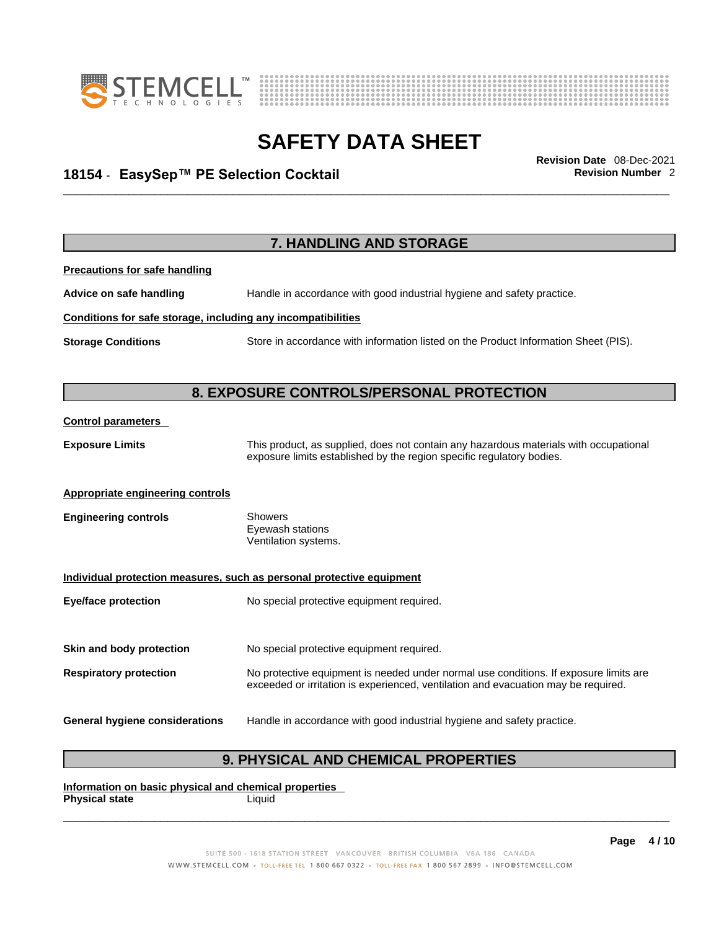



## \_\_\_\_\_\_\_\_\_\_\_\_\_\_\_\_\_\_\_\_\_\_\_\_\_\_\_\_\_\_\_\_\_\_\_\_\_\_\_\_\_\_\_\_\_\_\_\_\_\_\_\_\_\_\_\_\_\_\_\_\_\_\_\_\_\_\_\_\_\_\_\_\_\_\_\_\_\_\_\_\_\_\_\_\_\_\_\_\_\_\_\_\_ **Revision Date** 08-Dec-2021 **18154** - **EasySep™ PE Selection Cocktail Revision Number** 2

|                                                              | 7. HANDLING AND STORAGE                                                                                                                                                     |  |  |
|--------------------------------------------------------------|-----------------------------------------------------------------------------------------------------------------------------------------------------------------------------|--|--|
| <b>Precautions for safe handling</b>                         |                                                                                                                                                                             |  |  |
| Advice on safe handling                                      | Handle in accordance with good industrial hygiene and safety practice.                                                                                                      |  |  |
| Conditions for safe storage, including any incompatibilities |                                                                                                                                                                             |  |  |
| <b>Storage Conditions</b>                                    | Store in accordance with information listed on the Product Information Sheet (PIS).                                                                                         |  |  |
|                                                              |                                                                                                                                                                             |  |  |
|                                                              | 8. EXPOSURE CONTROLS/PERSONAL PROTECTION                                                                                                                                    |  |  |
| <b>Control parameters</b>                                    |                                                                                                                                                                             |  |  |
| <b>Exposure Limits</b>                                       | This product, as supplied, does not contain any hazardous materials with occupational<br>exposure limits established by the region specific regulatory bodies.              |  |  |
| <b>Appropriate engineering controls</b>                      |                                                                                                                                                                             |  |  |
| <b>Engineering controls</b>                                  | <b>Showers</b><br>Eyewash stations<br>Ventilation systems.                                                                                                                  |  |  |
|                                                              | Individual protection measures, such as personal protective equipment                                                                                                       |  |  |
| <b>Eye/face protection</b>                                   | No special protective equipment required.                                                                                                                                   |  |  |
| Skin and body protection                                     | No special protective equipment required.                                                                                                                                   |  |  |
| <b>Respiratory protection</b>                                | No protective equipment is needed under normal use conditions. If exposure limits are<br>exceeded or irritation is experienced, ventilation and evacuation may be required. |  |  |
| <b>General hygiene considerations</b>                        | Handle in accordance with good industrial hygiene and safety practice.                                                                                                      |  |  |

### **9. PHYSICAL AND CHEMICAL PROPERTIES**

**Information on basic physical and chemical properties Physical state** Liquid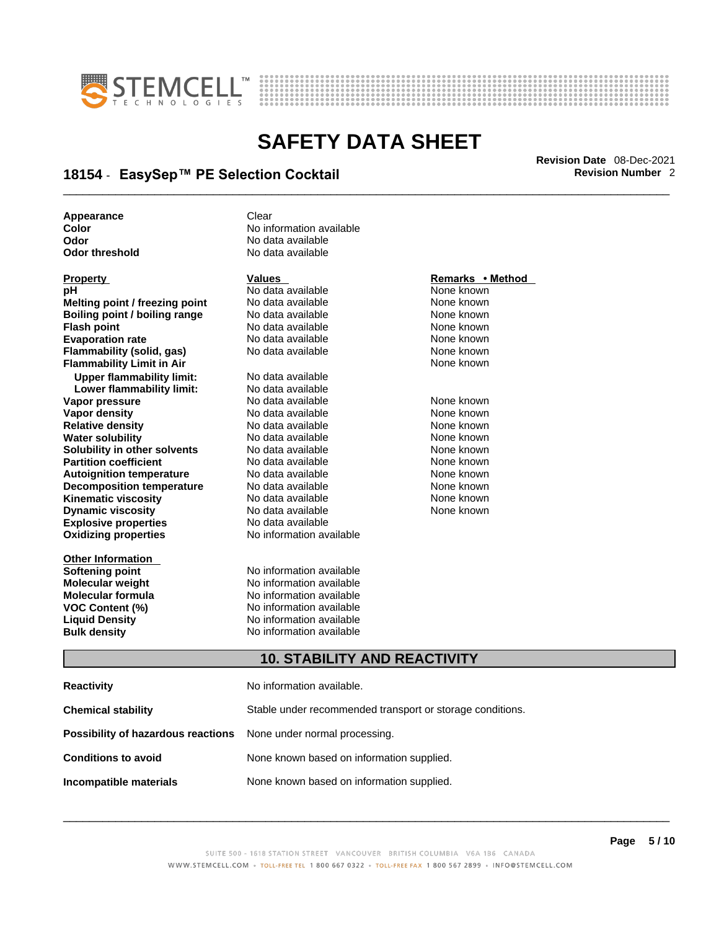



## \_\_\_\_\_\_\_\_\_\_\_\_\_\_\_\_\_\_\_\_\_\_\_\_\_\_\_\_\_\_\_\_\_\_\_\_\_\_\_\_\_\_\_\_\_\_\_\_\_\_\_\_\_\_\_\_\_\_\_\_\_\_\_\_\_\_\_\_\_\_\_\_\_\_\_\_\_\_\_\_\_\_\_\_\_\_\_\_\_\_\_\_\_ **Revision Date** 08-Dec-2021 **18154** - **EasySep™ PE Selection Cocktail Revision Number** 2

**Appearance** Clear<br> **Color** No inf **Color Color Color Color Color Color Color Color Color Color Color No** data available **Odor No data available**<br> **Odor threshold No data available** 

| <b>Property</b>                           | <b>Values</b>                                             | Remarks • Method |  |  |
|-------------------------------------------|-----------------------------------------------------------|------------------|--|--|
| рH                                        | No data available                                         | None known       |  |  |
| Melting point / freezing point            | No data available                                         | None known       |  |  |
| <b>Boiling point / boiling range</b>      | No data available                                         | None known       |  |  |
| <b>Flash point</b>                        | No data available                                         | None known       |  |  |
| <b>Evaporation rate</b>                   | No data available                                         | None known       |  |  |
| <b>Flammability (solid, gas)</b>          | No data available                                         | None known       |  |  |
| <b>Flammability Limit in Air</b>          |                                                           | None known       |  |  |
| <b>Upper flammability limit:</b>          | No data available                                         |                  |  |  |
| Lower flammability limit:                 | No data available                                         |                  |  |  |
| Vapor pressure                            | No data available                                         | None known       |  |  |
| <b>Vapor density</b>                      | No data available                                         | None known       |  |  |
| <b>Relative density</b>                   | No data available                                         | None known       |  |  |
| <b>Water solubility</b>                   | No data available                                         | None known       |  |  |
| Solubility in other solvents              | No data available                                         | None known       |  |  |
| <b>Partition coefficient</b>              | No data available                                         | None known       |  |  |
| <b>Autoignition temperature</b>           | No data available                                         | None known       |  |  |
| <b>Decomposition temperature</b>          | No data available                                         | None known       |  |  |
| <b>Kinematic viscosity</b>                | No data available                                         | None known       |  |  |
| <b>Dynamic viscosity</b>                  | No data available                                         | None known       |  |  |
| <b>Explosive properties</b>               | No data available                                         |                  |  |  |
| <b>Oxidizing properties</b>               | No information available                                  |                  |  |  |
| <b>Other Information</b>                  |                                                           |                  |  |  |
| <b>Softening point</b>                    | No information available                                  |                  |  |  |
| Molecular weight                          | No information available                                  |                  |  |  |
| <b>Molecular formula</b>                  | No information available                                  |                  |  |  |
| <b>VOC Content (%)</b>                    | No information available                                  |                  |  |  |
| <b>Liquid Density</b>                     | No information available                                  |                  |  |  |
| <b>Bulk density</b>                       | No information available                                  |                  |  |  |
|                                           | <b>10. STABILITY AND REACTIVITY</b>                       |                  |  |  |
| <b>Reactivity</b>                         | No information available.                                 |                  |  |  |
|                                           |                                                           |                  |  |  |
| <b>Chemical stability</b>                 | Stable under recommended transport or storage conditions. |                  |  |  |
| <b>Possibility of hazardous reactions</b> | None under normal processing.                             |                  |  |  |
| <b>Conditions to avoid</b>                | None known based on information supplied.                 |                  |  |  |

**No data available** 

**Incompatible materials** None known based on information supplied.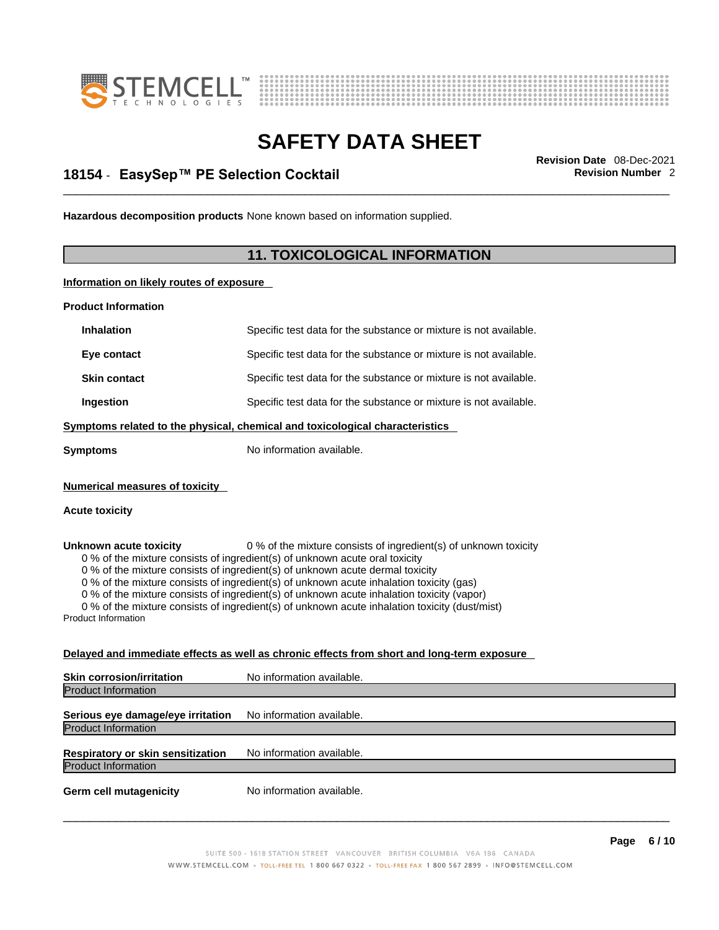



## \_\_\_\_\_\_\_\_\_\_\_\_\_\_\_\_\_\_\_\_\_\_\_\_\_\_\_\_\_\_\_\_\_\_\_\_\_\_\_\_\_\_\_\_\_\_\_\_\_\_\_\_\_\_\_\_\_\_\_\_\_\_\_\_\_\_\_\_\_\_\_\_\_\_\_\_\_\_\_\_\_\_\_\_\_\_\_\_\_\_\_\_\_ **Revision Date** 08-Dec-2021 **18154** - **EasySep™ PE Selection Cocktail Revision Number** 2

**Hazardous decomposition products** None known based on information supplied.

### **11. TOXICOLOGICAL INFORMATION**

**Information on likely routes of exposure**

**Product Information**

| <b>Inhalation</b>                                                                                                                                                                                                                                                                                                                                                                                                                                                                                                                                                                 | Specific test data for the substance or mixture is not available.                          |  |
|-----------------------------------------------------------------------------------------------------------------------------------------------------------------------------------------------------------------------------------------------------------------------------------------------------------------------------------------------------------------------------------------------------------------------------------------------------------------------------------------------------------------------------------------------------------------------------------|--------------------------------------------------------------------------------------------|--|
| Eye contact                                                                                                                                                                                                                                                                                                                                                                                                                                                                                                                                                                       | Specific test data for the substance or mixture is not available.                          |  |
| <b>Skin contact</b>                                                                                                                                                                                                                                                                                                                                                                                                                                                                                                                                                               | Specific test data for the substance or mixture is not available.                          |  |
| Ingestion                                                                                                                                                                                                                                                                                                                                                                                                                                                                                                                                                                         | Specific test data for the substance or mixture is not available.                          |  |
|                                                                                                                                                                                                                                                                                                                                                                                                                                                                                                                                                                                   | Symptoms related to the physical, chemical and toxicological characteristics               |  |
| Symptoms                                                                                                                                                                                                                                                                                                                                                                                                                                                                                                                                                                          | No information available.                                                                  |  |
| <b>Numerical measures of toxicity</b>                                                                                                                                                                                                                                                                                                                                                                                                                                                                                                                                             |                                                                                            |  |
| <b>Acute toxicity</b>                                                                                                                                                                                                                                                                                                                                                                                                                                                                                                                                                             |                                                                                            |  |
| 0 % of the mixture consists of ingredient(s) of unknown toxicity<br>Unknown acute toxicity<br>0 % of the mixture consists of ingredient(s) of unknown acute oral toxicity<br>0 % of the mixture consists of ingredient(s) of unknown acute dermal toxicity<br>0 % of the mixture consists of ingredient(s) of unknown acute inhalation toxicity (gas)<br>0 % of the mixture consists of ingredient(s) of unknown acute inhalation toxicity (vapor)<br>0 % of the mixture consists of ingredient(s) of unknown acute inhalation toxicity (dust/mist)<br><b>Product Information</b> |                                                                                            |  |
|                                                                                                                                                                                                                                                                                                                                                                                                                                                                                                                                                                                   | Delayed and immediate effects as well as chronic effects from short and long-term exposure |  |
| <b>Skin corrosion/irritation</b>                                                                                                                                                                                                                                                                                                                                                                                                                                                                                                                                                  | No information available.                                                                  |  |
| <b>Product Information</b>                                                                                                                                                                                                                                                                                                                                                                                                                                                                                                                                                        |                                                                                            |  |
| Serious eye damage/eye irritation                                                                                                                                                                                                                                                                                                                                                                                                                                                                                                                                                 | No information available.                                                                  |  |
| <b>Product Information</b>                                                                                                                                                                                                                                                                                                                                                                                                                                                                                                                                                        |                                                                                            |  |
| <b>Respiratory or skin sensitization</b>                                                                                                                                                                                                                                                                                                                                                                                                                                                                                                                                          | No information available.                                                                  |  |
| <b>Product Information</b>                                                                                                                                                                                                                                                                                                                                                                                                                                                                                                                                                        |                                                                                            |  |
|                                                                                                                                                                                                                                                                                                                                                                                                                                                                                                                                                                                   |                                                                                            |  |

**Germ cell mutagenicity** No information available.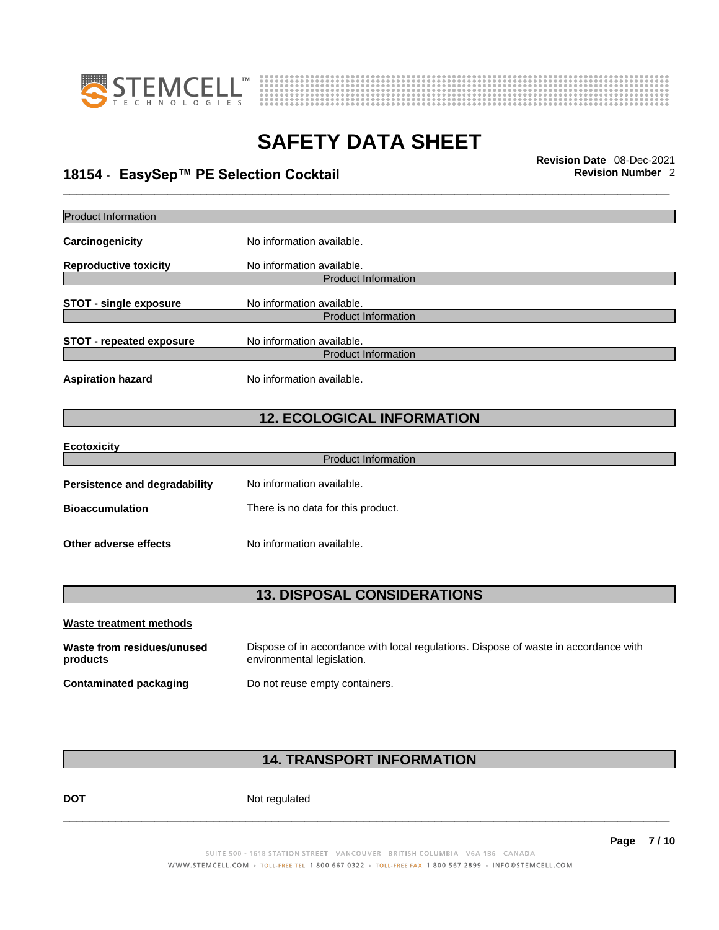



## \_\_\_\_\_\_\_\_\_\_\_\_\_\_\_\_\_\_\_\_\_\_\_\_\_\_\_\_\_\_\_\_\_\_\_\_\_\_\_\_\_\_\_\_\_\_\_\_\_\_\_\_\_\_\_\_\_\_\_\_\_\_\_\_\_\_\_\_\_\_\_\_\_\_\_\_\_\_\_\_\_\_\_\_\_\_\_\_\_\_\_\_\_ **Revision Date** 08-Dec-2021 **18154** - **EasySep™ PE Selection Cocktail Revision Number** 2

| <b>Product Information</b>             |                                                                                                                    |
|----------------------------------------|--------------------------------------------------------------------------------------------------------------------|
| Carcinogenicity                        | No information available.                                                                                          |
| <b>Reproductive toxicity</b>           | No information available.                                                                                          |
|                                        | <b>Product Information</b>                                                                                         |
| <b>STOT - single exposure</b>          | No information available.<br><b>Product Information</b>                                                            |
|                                        |                                                                                                                    |
| <b>STOT - repeated exposure</b>        | No information available.                                                                                          |
|                                        | <b>Product Information</b>                                                                                         |
| <b>Aspiration hazard</b>               | No information available.                                                                                          |
|                                        |                                                                                                                    |
|                                        | <b>12. ECOLOGICAL INFORMATION</b>                                                                                  |
|                                        |                                                                                                                    |
| <b>Ecotoxicity</b>                     | <b>Product Information</b>                                                                                         |
|                                        |                                                                                                                    |
| Persistence and degradability          | No information available.                                                                                          |
| <b>Bioaccumulation</b>                 | There is no data for this product.                                                                                 |
|                                        |                                                                                                                    |
| Other adverse effects                  | No information available.                                                                                          |
|                                        |                                                                                                                    |
|                                        | <b>13. DISPOSAL CONSIDERATIONS</b>                                                                                 |
|                                        |                                                                                                                    |
| Waste treatment methods                |                                                                                                                    |
| Waste from residues/unused<br>products | Dispose of in accordance with local regulations. Dispose of waste in accordance with<br>environmental legislation. |
| <b>Contaminated packaging</b>          | Do not reuse empty containers.                                                                                     |
|                                        |                                                                                                                    |

### **14. TRANSPORT INFORMATION**

DOT Not regulated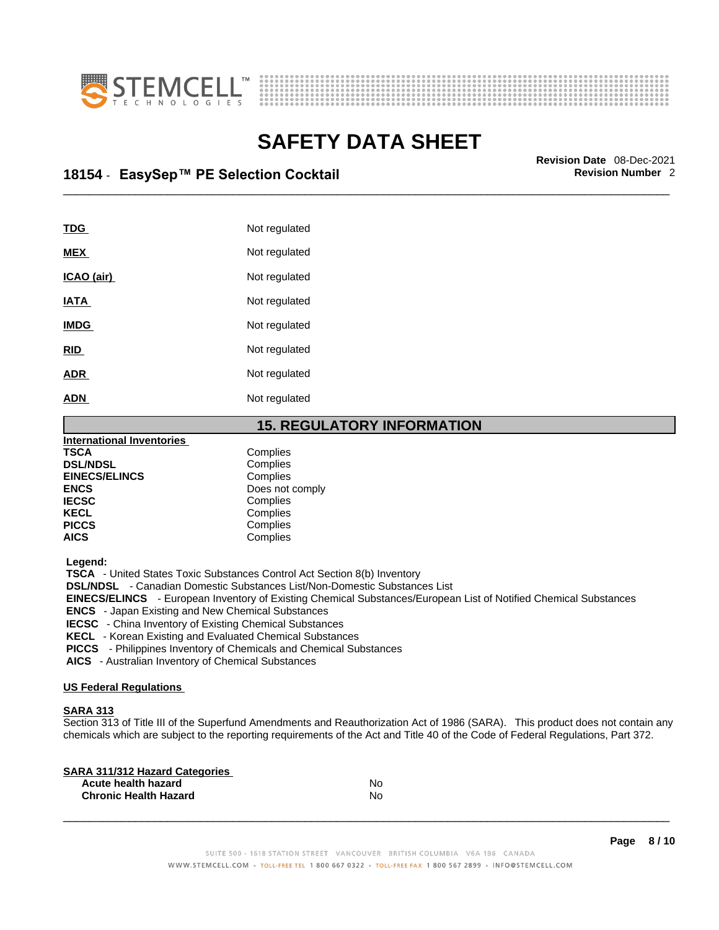



## \_\_\_\_\_\_\_\_\_\_\_\_\_\_\_\_\_\_\_\_\_\_\_\_\_\_\_\_\_\_\_\_\_\_\_\_\_\_\_\_\_\_\_\_\_\_\_\_\_\_\_\_\_\_\_\_\_\_\_\_\_\_\_\_\_\_\_\_\_\_\_\_\_\_\_\_\_\_\_\_\_\_\_\_\_\_\_\_\_\_\_\_\_ **Revision Date** 08-Dec-2021 **18154** - **EasySep™ PE Selection Cocktail Revision Number** 2

| TDG         | Not regulated |
|-------------|---------------|
| <b>MEX</b>  | Not regulated |
| ICAO (air)  | Not regulated |
| <b>IATA</b> | Not regulated |
| <b>IMDG</b> | Not regulated |
| <b>RID</b>  | Not regulated |
| <b>ADR</b>  | Not regulated |
| <b>ADN</b>  | Not regulated |
|             |               |

### **15. REGULATORY INFORMATION**

| <b>International Inventories</b> |                 |  |
|----------------------------------|-----------------|--|
| <b>TSCA</b>                      | Complies        |  |
| <b>DSL/NDSL</b>                  | Complies        |  |
| <b>EINECS/ELINCS</b>             | Complies        |  |
| <b>ENCS</b>                      | Does not comply |  |
| <b>IECSC</b>                     | Complies        |  |
| <b>KECL</b>                      | Complies        |  |
| <b>PICCS</b>                     | Complies        |  |
| <b>AICS</b>                      | Complies        |  |
|                                  |                 |  |

 **Legend:** 

 **TSCA** - United States Toxic Substances Control Act Section 8(b) Inventory

 **DSL/NDSL** - Canadian Domestic Substances List/Non-Domestic Substances List

 **EINECS/ELINCS** - European Inventory of Existing Chemical Substances/European List of Notified Chemical Substances

 **ENCS** - Japan Existing and New Chemical Substances

 **IECSC** - China Inventory of Existing Chemical Substances

 **KECL** - Korean Existing and Evaluated Chemical Substances

 **PICCS** - Philippines Inventory of Chemicals and Chemical Substances

 **AICS** - Australian Inventory of Chemical Substances

### **US Federal Regulations**

### **SARA 313**

Section 313 of Title III of the Superfund Amendments and Reauthorization Act of 1986 (SARA). This product does not contain any chemicals which are subject to the reporting requirements of the Act and Title 40 of the Code of Federal Regulations, Part 372.

| No |  |
|----|--|
| No |  |
|    |  |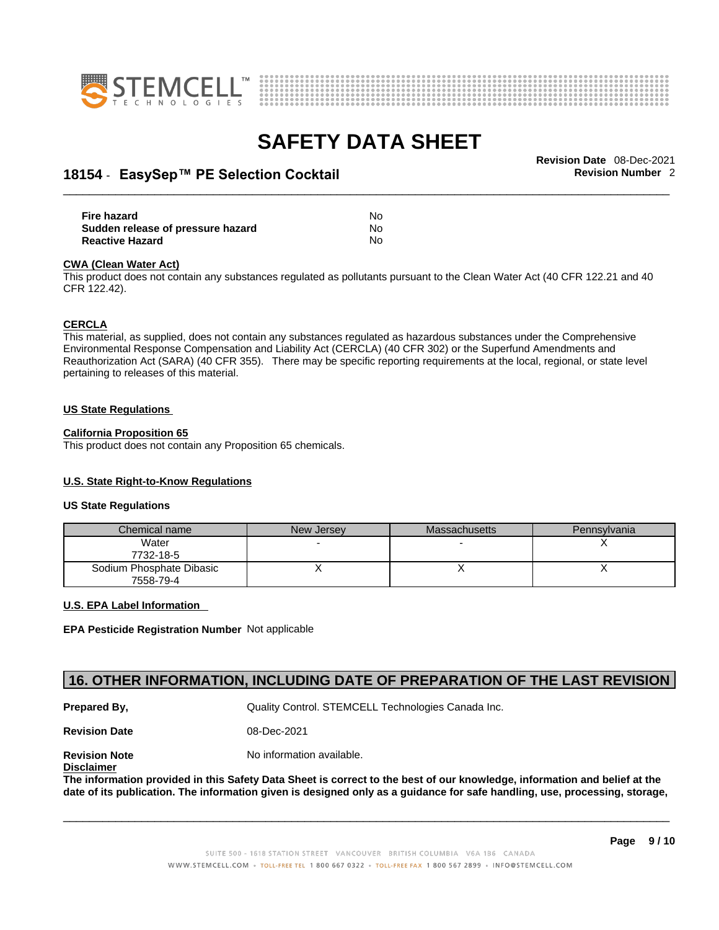



## \_\_\_\_\_\_\_\_\_\_\_\_\_\_\_\_\_\_\_\_\_\_\_\_\_\_\_\_\_\_\_\_\_\_\_\_\_\_\_\_\_\_\_\_\_\_\_\_\_\_\_\_\_\_\_\_\_\_\_\_\_\_\_\_\_\_\_\_\_\_\_\_\_\_\_\_\_\_\_\_\_\_\_\_\_\_\_\_\_\_\_\_\_ **Revision Date** 08-Dec-2021 **18154** - **EasySep™ PE Selection Cocktail Revision Number** 2

| Fire hazard                       | No |  |
|-----------------------------------|----|--|
| Sudden release of pressure hazard | No |  |
| <b>Reactive Hazard</b>            | No |  |

#### **CWA** (Clean Water Act)

This product does not contain any substances regulated as pollutants pursuant to the Clean Water Act (40 CFR 122.21 and 40 CFR 122.42).

#### **CERCLA**

This material, as supplied, does not contain any substances regulated as hazardous substances under the Comprehensive Environmental Response Compensation and Liability Act (CERCLA) (40 CFR 302) or the Superfund Amendments and Reauthorization Act (SARA) (40 CFR 355). There may be specific reporting requirements at the local, regional, or state level pertaining to releases of this material.

#### **US State Regulations**

#### **California Proposition 65**

This product does not contain any Proposition 65 chemicals.

### **U.S. State Right-to-Know Regulations**

#### **US State Regulations**

| Chemical name                         | New Jersey | <b>Massachusetts</b> | Pennsylvania |
|---------------------------------------|------------|----------------------|--------------|
| Water<br>7732-18-5                    |            |                      |              |
| Sodium Phosphate Dibasic<br>7558-79-4 |            |                      |              |

### **U.S. EPA Label Information**

**EPA Pesticide Registration Number** Not applicable

### **16. OTHER INFORMATION, INCLUDING DATE OF PREPARATION OF THE LAST REVISION**

**Prepared By, State Control. STEMCELL Technologies Canada Inc.** Canada Inc.

**Revision Date** 08-Dec-2021

**Disclaimer**

**Revision Note** Noinformation available.

The information provided in this Safety Data Sheet is correct to the best of our knowledge, information and belief at the date of its publication. The information given is designed only as a guidance for safe handling, use, processing, storage,